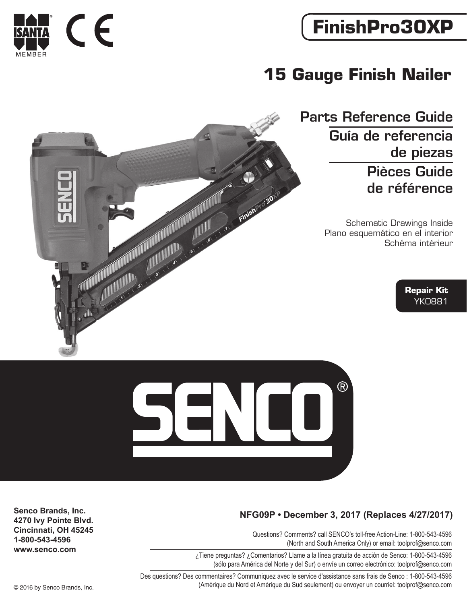## **FinishPro30XP**

### **15 Gauge Finish Nailer**

Parts Reference Guide Guía de referencia de piezas Pièces Guide de référence

> Schematic Drawings Inside Plano esquemático en el interior Schéma intérieur

> > **Repair Kit** YK0881



 $R$ 

Questions? Comments? call SENCO's toll-free Action-Line: 1-800-543-4596 (North and South America Only) or email: toolprof@senco.com

¿Tiene preguntas? ¿Comentarios? Llame a la línea gratuita de acción de Senco: 1-800-543-4596 (sólo para América del Norte y del Sur) o envíe un correo electrónico: toolprof@senco.com

Des questions? Des commentaires? Communiquez avec le service d'assistance sans frais de Senco : 1-800-543-4596 © 2016 by Senco Brands, Inc. (Amérique du Nord et Amérique du Sud seulement) ou envoyer un courriel: toolprof@senco.com

**Senco Brands, Inc. 4270 Ivy Pointe Blvd. Cincinnati, OH 45245 1-800-543-4596 www.senco.com**



٦

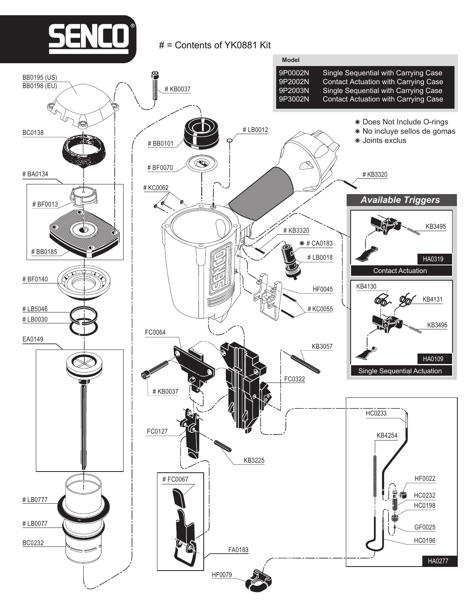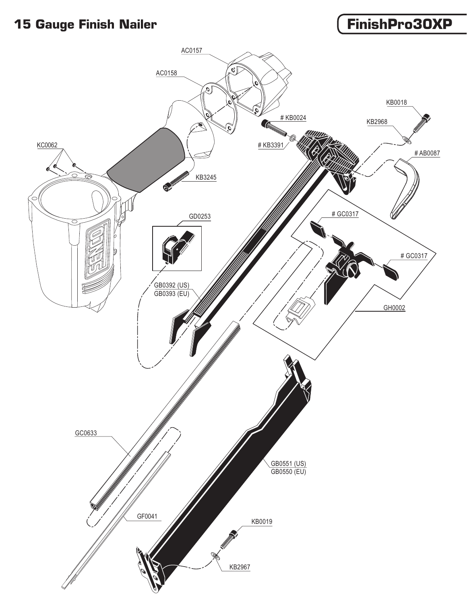#### **15 Gauge Finish Nailer FinishPro30XP**